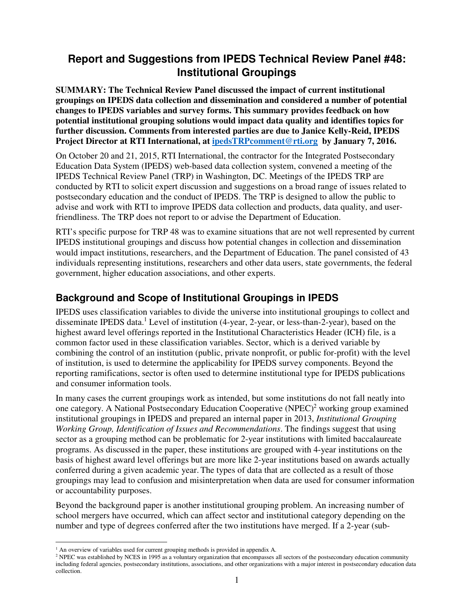## **Report and Suggestions from IPEDS Technical Review Panel #48: Institutional Groupings**

**SUMMARY: The Technical Review Panel discussed the impact of current institutional groupings on IPEDS data collection and dissemination and considered a number of potential changes to IPEDS variables and survey forms. This summary provides feedback on how potential institutional grouping solutions would impact data quality and identifies topics for further discussion. Comments from interested parties are due to Janice Kelly-Reid, IPEDS Project Director at RTI International, at ipedsTRPcomment@rti.org by January 7, 2016.** 

On October 20 and 21, 2015, RTI International, the contractor for the Integrated Postsecondary Education Data System (IPEDS) web-based data collection system, convened a meeting of the IPEDS Technical Review Panel (TRP) in Washington, DC. Meetings of the IPEDS TRP are conducted by RTI to solicit expert discussion and suggestions on a broad range of issues related to postsecondary education and the conduct of IPEDS. The TRP is designed to allow the public to advise and work with RTI to improve IPEDS data collection and products, data quality, and userfriendliness. The TRP does not report to or advise the Department of Education.

RTI's specific purpose for TRP 48 was to examine situations that are not well represented by current IPEDS institutional groupings and discuss how potential changes in collection and dissemination would impact institutions, researchers, and the Department of Education. The panel consisted of 43 individuals representing institutions, researchers and other data users, state governments, the federal government, higher education associations, and other experts.

### **Background and Scope of Institutional Groupings in IPEDS**

IPEDS uses classification variables to divide the universe into institutional groupings to collect and disseminate IPEDS data.<sup>1</sup> Level of institution (4-year, 2-year, or less-than-2-year), based on the highest award level offerings reported in the Institutional Characteristics Header (ICH) file, is a common factor used in these classification variables. Sector, which is a derived variable by combining the control of an institution (public, private nonprofit, or public for-profit) with the level of institution, is used to determine the applicability for IPEDS survey components. Beyond the reporting ramifications, sector is often used to determine institutional type for IPEDS publications and consumer information tools.

In many cases the current groupings work as intended, but some institutions do not fall neatly into one category. A National Postsecondary Education Cooperative (NPEC)<sup>2</sup> working group examined institutional groupings in IPEDS and prepared an internal paper in 2013, *Institutional Grouping Working Group, Identification of Issues and Recommendations*. The findings suggest that using sector as a grouping method can be problematic for 2-year institutions with limited baccalaureate programs. As discussed in the paper, these institutions are grouped with 4-year institutions on the basis of highest award level offerings but are more like 2-year institutions based on awards actually conferred during a given academic year. The types of data that are collected as a result of those groupings may lead to confusion and misinterpretation when data are used for consumer information or accountability purposes.

Beyond the background paper is another institutional grouping problem. An increasing number of school mergers have occurred, which can affect sector and institutional category depending on the number and type of degrees conferred after the two institutions have merged. If a 2-year (sub-

 $\overline{a}$ <sup>1</sup> An overview of variables used for current grouping methods is provided in appendix A.

<sup>&</sup>lt;sup>2</sup> NPEC was established by NCES in 1995 as a voluntary organization that encompasses all sectors of the postsecondary education community including federal agencies, postsecondary institutions, associations, and other organizations with a major interest in postsecondary education data collection.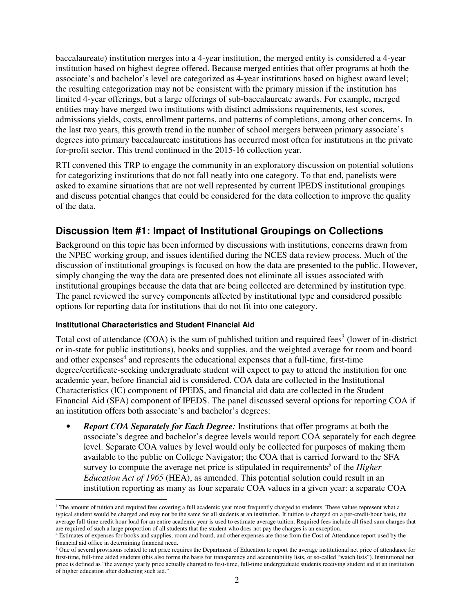baccalaureate) institution merges into a 4-year institution, the merged entity is considered a 4-year institution based on highest degree offered. Because merged entities that offer programs at both the associate's and bachelor's level are categorized as 4-year institutions based on highest award level; the resulting categorization may not be consistent with the primary mission if the institution has limited 4-year offerings, but a large offerings of sub-baccalaureate awards. For example, merged entities may have merged two institutions with distinct admissions requirements, test scores, admissions yields, costs, enrollment patterns, and patterns of completions, among other concerns. In the last two years, this growth trend in the number of school mergers between primary associate's degrees into primary baccalaureate institutions has occurred most often for institutions in the private for-profit sector. This trend continued in the 2015-16 collection year.

RTI convened this TRP to engage the community in an exploratory discussion on potential solutions for categorizing institutions that do not fall neatly into one category. To that end, panelists were asked to examine situations that are not well represented by current IPEDS institutional groupings and discuss potential changes that could be considered for the data collection to improve the quality of the data.

### **Discussion Item #1: Impact of Institutional Groupings on Collections**

Background on this topic has been informed by discussions with institutions, concerns drawn from the NPEC working group, and issues identified during the NCES data review process. Much of the discussion of institutional groupings is focused on how the data are presented to the public. However, simply changing the way the data are presented does not eliminate all issues associated with institutional groupings because the data that are being collected are determined by institution type. The panel reviewed the survey components affected by institutional type and considered possible options for reporting data for institutions that do not fit into one category.

#### **Institutional Characteristics and Student Financial Aid**

Total cost of attendance  $(COA)$  is the sum of published tuition and required fees<sup>3</sup> (lower of in-district or in-state for public institutions), books and supplies, and the weighted average for room and board and other expenses<sup>4</sup> and represents the educational expenses that a full-time, first-time degree/certificate-seeking undergraduate student will expect to pay to attend the institution for one academic year, before financial aid is considered. COA data are collected in the Institutional Characteristics (IC) component of IPEDS, and financial aid data are collected in the Student Financial Aid (SFA) component of IPEDS. The panel discussed several options for reporting COA if an institution offers both associate's and bachelor's degrees:

• *Report COA Separately for Each Degree:* Institutions that offer programs at both the associate's degree and bachelor's degree levels would report COA separately for each degree level. Separate COA values by level would only be collected for purposes of making them available to the public on College Navigator; the COA that is carried forward to the SFA survey to compute the average net price is stipulated in requirements<sup>5</sup> of the *Higher Education Act of 1965* (HEA), as amended. This potential solution could result in an institution reporting as many as four separate COA values in a given year: a separate COA

<sup>&</sup>lt;sup>3</sup> The amount of tuition and required fees covering a full academic year most frequently charged to students. These values represent what a typical student would be charged and may not be the same for all students at an institution. If tuition is charged on a per-credit-hour basis, the average full-time credit hour load for an entire academic year is used to estimate average tuition. Required fees include all fixed sum charges that are required of such a large proportion of all students that the student who does not pay the charges is an exception.

<sup>4</sup> Estimates of expenses for books and supplies, room and board, and other expenses are those from the Cost of Attendance report used by the financial aid office in determining financial need.

 $5$  One of several provisions related to net price requires the Department of Education to report the average institutional net price of attendance for first-time, full-time aided students (this also forms the basis for transparency and accountability lists, or so-called "watch lists"). Institutional net price is defined as "the average yearly price actually charged to first-time, full-time undergraduate students receiving student aid at an institution of higher education after deducting such aid."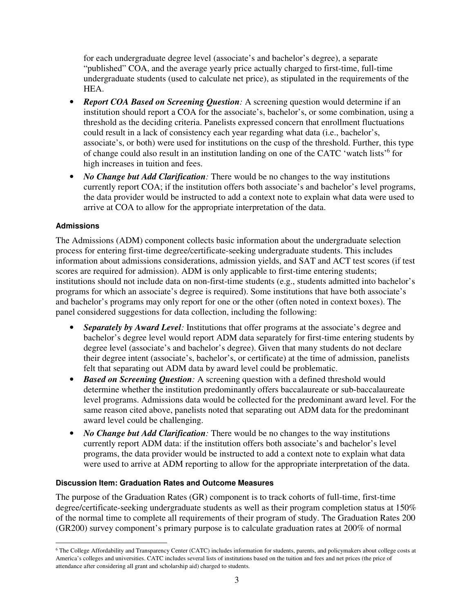for each undergraduate degree level (associate's and bachelor's degree), a separate "published" COA, and the average yearly price actually charged to first-time, full-time undergraduate students (used to calculate net price), as stipulated in the requirements of the HEA.

- *Report COA Based on Screening Question:* A screening question would determine if an institution should report a COA for the associate's, bachelor's, or some combination, using a threshold as the deciding criteria. Panelists expressed concern that enrollment fluctuations could result in a lack of consistency each year regarding what data (i.e., bachelor's, associate's, or both) were used for institutions on the cusp of the threshold. Further, this type of change could also result in an institution landing on one of the CATC 'watch lists'<sup>6</sup> for high increases in tuition and fees.
- *No Change but Add Clarification*: There would be no changes to the way institutions currently report COA; if the institution offers both associate's and bachelor's level programs, the data provider would be instructed to add a context note to explain what data were used to arrive at COA to allow for the appropriate interpretation of the data.

#### **Admissions**

The Admissions (ADM) component collects basic information about the undergraduate selection process for entering first-time degree/certificate-seeking undergraduate students. This includes information about admissions considerations, admission yields, and SAT and ACT test scores (if test scores are required for admission). ADM is only applicable to first-time entering students; institutions should not include data on non-first-time students (e.g., students admitted into bachelor's programs for which an associate's degree is required). Some institutions that have both associate's and bachelor's programs may only report for one or the other (often noted in context boxes). The panel considered suggestions for data collection, including the following:

- *Separately by Award Level:* Institutions that offer programs at the associate's degree and bachelor's degree level would report ADM data separately for first-time entering students by degree level (associate's and bachelor's degree). Given that many students do not declare their degree intent (associate's, bachelor's, or certificate) at the time of admission, panelists felt that separating out ADM data by award level could be problematic.
- *Based on Screening Question:* A screening question with a defined threshold would determine whether the institution predominantly offers baccalaureate or sub-baccalaureate level programs. Admissions data would be collected for the predominant award level. For the same reason cited above, panelists noted that separating out ADM data for the predominant award level could be challenging.
- *No Change but Add Clarification*: There would be no changes to the way institutions currently report ADM data: if the institution offers both associate's and bachelor's level programs, the data provider would be instructed to add a context note to explain what data were used to arrive at ADM reporting to allow for the appropriate interpretation of the data.

#### **Discussion Item: Graduation Rates and Outcome Measures**

The purpose of the Graduation Rates (GR) component is to track cohorts of full-time, first-time degree/certificate-seeking undergraduate students as well as their program completion status at 150% of the normal time to complete all requirements of their program of study. The Graduation Rates 200 (GR200) survey component's primary purpose is to calculate graduation rates at 200% of normal

 6 The College Affordability and Transparency Center (CATC) includes information for students, parents, and policymakers about college costs at America's colleges and universities. CATC includes several lists of institutions based on the tuition and fees and net prices (the price of attendance after considering all grant and scholarship aid) charged to students.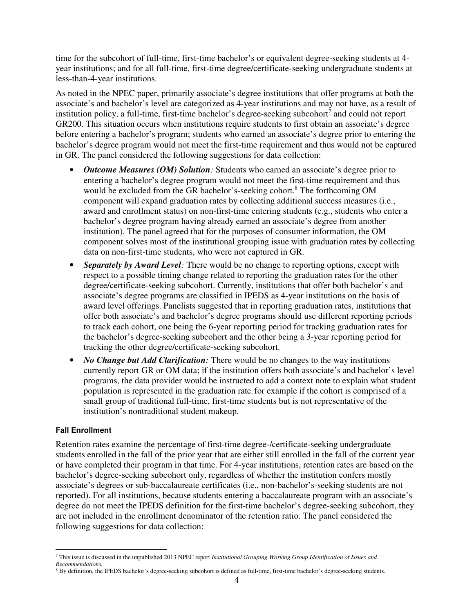time for the subcohort of full-time, first-time bachelor's or equivalent degree-seeking students at 4 year institutions; and for all full-time, first-time degree/certificate-seeking undergraduate students at less-than-4-year institutions.

As noted in the NPEC paper, primarily associate's degree institutions that offer programs at both the associate's and bachelor's level are categorized as 4-year institutions and may not have, as a result of institution policy, a full-time, first-time bachelor's degree-seeking subcohort<sup>7</sup> and could not report GR200. This situation occurs when institutions require students to first obtain an associate's degree before entering a bachelor's program; students who earned an associate's degree prior to entering the bachelor's degree program would not meet the first-time requirement and thus would not be captured in GR. The panel considered the following suggestions for data collection:

- *Outcome Measures (OM) Solution:* Students who earned an associate's degree prior to entering a bachelor's degree program would not meet the first-time requirement and thus would be excluded from the GR bachelor's-seeking cohort.<sup>8</sup> The forthcoming OM component will expand graduation rates by collecting additional success measures (i.e., award and enrollment status) on non-first-time entering students (e.g., students who enter a bachelor's degree program having already earned an associate's degree from another institution). The panel agreed that for the purposes of consumer information, the OM component solves most of the institutional grouping issue with graduation rates by collecting data on non-first-time students, who were not captured in GR.
- *Separately by Award Level:* There would be no change to reporting options, except with respect to a possible timing change related to reporting the graduation rates for the other degree/certificate-seeking subcohort. Currently, institutions that offer both bachelor's and associate's degree programs are classified in IPEDS as 4-year institutions on the basis of award level offerings. Panelists suggested that in reporting graduation rates, institutions that offer both associate's and bachelor's degree programs should use different reporting periods to track each cohort, one being the 6-year reporting period for tracking graduation rates for the bachelor's degree-seeking subcohort and the other being a 3-year reporting period for tracking the other degree/certificate-seeking subcohort.
- *No Change but Add Clarification*: There would be no changes to the way institutions currently report GR or OM data; if the institution offers both associate's and bachelor's level programs, the data provider would be instructed to add a context note to explain what student population is represented in the graduation rate, for example if the cohort is comprised of a small group of traditional full-time, first-time students but is not representative of the institution's nontraditional student makeup.

#### **Fall Enrollment**

Retention rates examine the percentage of first-time degree-/certificate-seeking undergraduate students enrolled in the fall of the prior year that are either still enrolled in the fall of the current year or have completed their program in that time. For 4-year institutions, retention rates are based on the bachelor's degree-seeking subcohort only, regardless of whether the institution confers mostly associate's degrees or sub-baccalaureate certificates (i.e., non-bachelor's-seeking students are not reported). For all institutions, because students entering a baccalaureate program with an associate's degree do not meet the IPEDS definition for the first-time bachelor's degree-seeking subcohort, they are not included in the enrollment denominator of the retention ratio. The panel considered the following suggestions for data collection:

 7 This issue is discussed in the unpublished 2013 NPEC report *Institutional Grouping Working Group Identification of Issues and Recommendations.*

<sup>&</sup>lt;sup>8</sup> By definition, the IPEDS bachelor's degree-seeking subcohort is defined as full-time, first-time bachelor's degree-seeking students.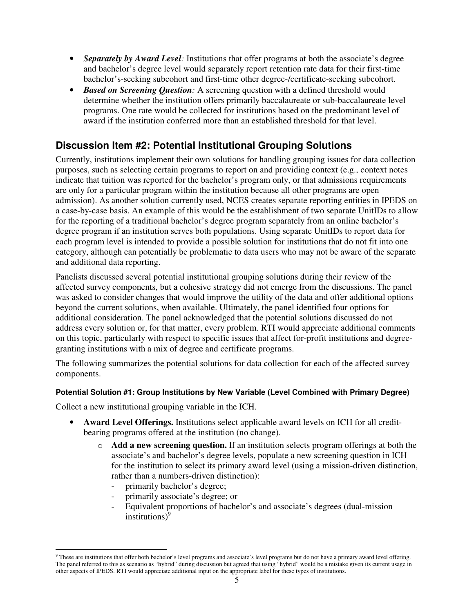- *Separately by Award Level*: Institutions that offer programs at both the associate's degree and bachelor's degree level would separately report retention rate data for their first-time bachelor's-seeking subcohort and first-time other degree-/certificate-seeking subcohort.
- **Based on Screening Question**: A screening question with a defined threshold would determine whether the institution offers primarily baccalaureate or sub-baccalaureate level programs. One rate would be collected for institutions based on the predominant level of award if the institution conferred more than an established threshold for that level.

## **Discussion Item #2: Potential Institutional Grouping Solutions**

Currently, institutions implement their own solutions for handling grouping issues for data collection purposes, such as selecting certain programs to report on and providing context (e.g., context notes indicate that tuition was reported for the bachelor's program only, or that admissions requirements are only for a particular program within the institution because all other programs are open admission). As another solution currently used, NCES creates separate reporting entities in IPEDS on a case-by-case basis. An example of this would be the establishment of two separate UnitIDs to allow for the reporting of a traditional bachelor's degree program separately from an online bachelor's degree program if an institution serves both populations. Using separate UnitIDs to report data for each program level is intended to provide a possible solution for institutions that do not fit into one category, although can potentially be problematic to data users who may not be aware of the separate and additional data reporting.

Panelists discussed several potential institutional grouping solutions during their review of the affected survey components, but a cohesive strategy did not emerge from the discussions. The panel was asked to consider changes that would improve the utility of the data and offer additional options beyond the current solutions, when available. Ultimately, the panel identified four options for additional consideration. The panel acknowledged that the potential solutions discussed do not address every solution or, for that matter, every problem. RTI would appreciate additional comments on this topic, particularly with respect to specific issues that affect for-profit institutions and degreegranting institutions with a mix of degree and certificate programs.

The following summarizes the potential solutions for data collection for each of the affected survey components.

#### **Potential Solution #1: Group Institutions by New Variable (Level Combined with Primary Degree)**

Collect a new institutional grouping variable in the ICH.

- **Award Level Offerings.** Institutions select applicable award levels on ICH for all creditbearing programs offered at the institution (no change).
	- o **Add a new screening question.** If an institution selects program offerings at both the associate's and bachelor's degree levels, populate a new screening question in ICH for the institution to select its primary award level (using a mission-driven distinction, rather than a numbers-driven distinction):
		- primarily bachelor's degree;
		- primarily associate's degree; or
		- Equivalent proportions of bachelor's and associate's degrees (dual-mission institutions $)^9$

 9 These are institutions that offer both bachelor's level programs and associate's level programs but do not have a primary award level offering. The panel referred to this as scenario as "hybrid" during discussion but agreed that using "hybrid" would be a mistake given its current usage in other aspects of IPEDS. RTI would appreciate additional input on the appropriate label for these types of institutions.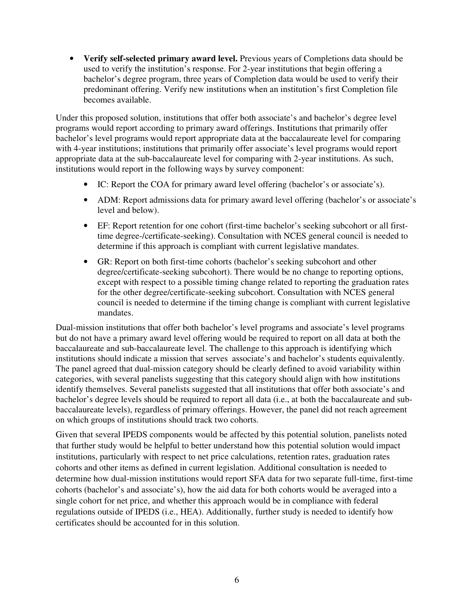• **Verify self-selected primary award level.** Previous years of Completions data should be used to verify the institution's response. For 2-year institutions that begin offering a bachelor's degree program, three years of Completion data would be used to verify their predominant offering. Verify new institutions when an institution's first Completion file becomes available.

Under this proposed solution, institutions that offer both associate's and bachelor's degree level programs would report according to primary award offerings. Institutions that primarily offer bachelor's level programs would report appropriate data at the baccalaureate level for comparing with 4-year institutions; institutions that primarily offer associate's level programs would report appropriate data at the sub-baccalaureate level for comparing with 2-year institutions. As such, institutions would report in the following ways by survey component:

- IC: Report the COA for primary award level offering (bachelor's or associate's).
- ADM: Report admissions data for primary award level offering (bachelor's or associate's level and below).
- EF: Report retention for one cohort (first-time bachelor's seeking subcohort or all firsttime degree-/certificate-seeking). Consultation with NCES general council is needed to determine if this approach is compliant with current legislative mandates.
- GR: Report on both first-time cohorts (bachelor's seeking subcohort and other degree/certificate-seeking subcohort). There would be no change to reporting options, except with respect to a possible timing change related to reporting the graduation rates for the other degree/certificate-seeking subcohort. Consultation with NCES general council is needed to determine if the timing change is compliant with current legislative mandates.

Dual-mission institutions that offer both bachelor's level programs and associate's level programs but do not have a primary award level offering would be required to report on all data at both the baccalaureate and sub-baccalaureate level. The challenge to this approach is identifying which institutions should indicate a mission that serves associate's and bachelor's students equivalently. The panel agreed that dual-mission category should be clearly defined to avoid variability within categories, with several panelists suggesting that this category should align with how institutions identify themselves. Several panelists suggested that all institutions that offer both associate's and bachelor's degree levels should be required to report all data (i.e., at both the baccalaureate and subbaccalaureate levels), regardless of primary offerings. However, the panel did not reach agreement on which groups of institutions should track two cohorts.

Given that several IPEDS components would be affected by this potential solution, panelists noted that further study would be helpful to better understand how this potential solution would impact institutions, particularly with respect to net price calculations, retention rates, graduation rates cohorts and other items as defined in current legislation. Additional consultation is needed to determine how dual-mission institutions would report SFA data for two separate full-time, first-time cohorts (bachelor's and associate's), how the aid data for both cohorts would be averaged into a single cohort for net price, and whether this approach would be in compliance with federal regulations outside of IPEDS (i.e., HEA). Additionally, further study is needed to identify how certificates should be accounted for in this solution.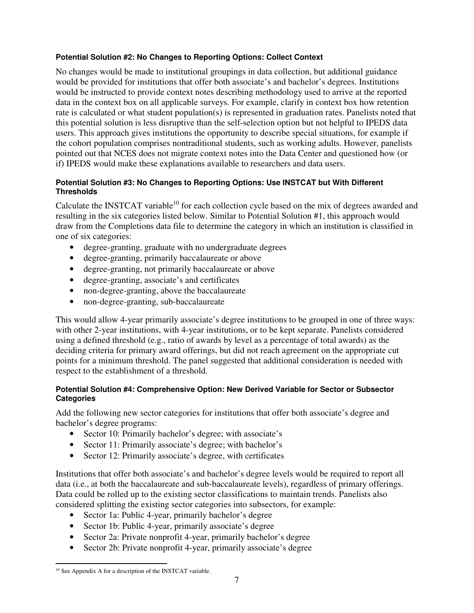#### **Potential Solution #2: No Changes to Reporting Options: Collect Context**

No changes would be made to institutional groupings in data collection, but additional guidance would be provided for institutions that offer both associate's and bachelor's degrees. Institutions would be instructed to provide context notes describing methodology used to arrive at the reported data in the context box on all applicable surveys. For example, clarify in context box how retention rate is calculated or what student population(s) is represented in graduation rates. Panelists noted that this potential solution is less disruptive than the self-selection option but not helpful to IPEDS data users. This approach gives institutions the opportunity to describe special situations, for example if the cohort population comprises nontraditional students, such as working adults. However, panelists pointed out that NCES does not migrate context notes into the Data Center and questioned how (or if) IPEDS would make these explanations available to researchers and data users.

#### **Potential Solution #3: No Changes to Reporting Options: Use INSTCAT but With Different Thresholds**

Calculate the INSTCAT variable<sup>10</sup> for each collection cycle based on the mix of degrees awarded and resulting in the six categories listed below. Similar to Potential Solution #1, this approach would draw from the Completions data file to determine the category in which an institution is classified in one of six categories:

- degree-granting, graduate with no undergraduate degrees
- degree-granting, primarily baccalaureate or above
- degree-granting, not primarily baccalaureate or above
- degree-granting, associate's and certificates
- non-degree-granting, above the baccalaureate
- non-degree-granting, sub-baccalaureate

This would allow 4-year primarily associate's degree institutions to be grouped in one of three ways: with other 2-year institutions, with 4-year institutions, or to be kept separate. Panelists considered using a defined threshold (e.g., ratio of awards by level as a percentage of total awards) as the deciding criteria for primary award offerings, but did not reach agreement on the appropriate cut points for a minimum threshold. The panel suggested that additional consideration is needed with respect to the establishment of a threshold.

#### **Potential Solution #4: Comprehensive Option: New Derived Variable for Sector or Subsector Categories**

Add the following new sector categories for institutions that offer both associate's degree and bachelor's degree programs:

- Sector 10: Primarily bachelor's degree; with associate's
- Sector 11: Primarily associate's degree; with bachelor's
- Sector 12: Primarily associate's degree, with certificates

Institutions that offer both associate's and bachelor's degree levels would be required to report all data (i.e., at both the baccalaureate and sub-baccalaureate levels), regardless of primary offerings. Data could be rolled up to the existing sector classifications to maintain trends. Panelists also considered splitting the existing sector categories into subsectors, for example:

- Sector 1a: Public 4-year, primarily bachelor's degree
- Sector 1b: Public 4-year, primarily associate's degree
- Sector 2a: Private nonprofit 4-year, primarily bachelor's degree
- Sector 2b: Private nonprofit 4-year, primarily associate's degree

l <sup>10</sup> See Appendix A for a description of the INSTCAT variable.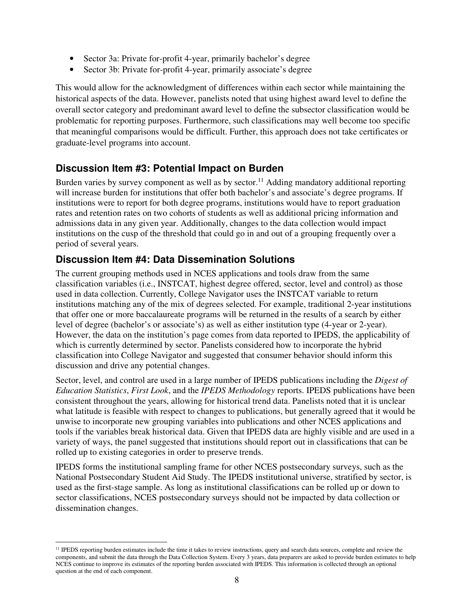- Sector 3a: Private for-profit 4-year, primarily bachelor's degree
- Sector 3b: Private for-profit 4-year, primarily associate's degree

This would allow for the acknowledgment of differences within each sector while maintaining the historical aspects of the data. However, panelists noted that using highest award level to define the overall sector category and predominant award level to define the subsector classification would be problematic for reporting purposes. Furthermore, such classifications may well become too specific that meaningful comparisons would be difficult. Further, this approach does not take certificates or graduate-level programs into account.

### **Discussion Item #3: Potential Impact on Burden**

Burden varies by survey component as well as by sector.<sup>11</sup> Adding mandatory additional reporting will increase burden for institutions that offer both bachelor's and associate's degree programs. If institutions were to report for both degree programs, institutions would have to report graduation rates and retention rates on two cohorts of students as well as additional pricing information and admissions data in any given year. Additionally, changes to the data collection would impact institutions on the cusp of the threshold that could go in and out of a grouping frequently over a period of several years.

### **Discussion Item #4: Data Dissemination Solutions**

The current grouping methods used in NCES applications and tools draw from the same classification variables (i.e., INSTCAT, highest degree offered, sector, level and control) as those used in data collection. Currently, College Navigator uses the INSTCAT variable to return institutions matching any of the mix of degrees selected. For example, traditional 2-year institutions that offer one or more baccalaureate programs will be returned in the results of a search by either level of degree (bachelor's or associate's) as well as either institution type (4-year or 2-year). However, the data on the institution's page comes from data reported to IPEDS, the applicability of which is currently determined by sector. Panelists considered how to incorporate the hybrid classification into College Navigator and suggested that consumer behavior should inform this discussion and drive any potential changes.

Sector, level, and control are used in a large number of IPEDS publications including the *Digest of Education Statistics*, *First Look*, and the *IPEDS Methodology* reports. IPEDS publications have been consistent throughout the years, allowing for historical trend data. Panelists noted that it is unclear what latitude is feasible with respect to changes to publications, but generally agreed that it would be unwise to incorporate new grouping variables into publications and other NCES applications and tools if the variables break historical data. Given that IPEDS data are highly visible and are used in a variety of ways, the panel suggested that institutions should report out in classifications that can be rolled up to existing categories in order to preserve trends.

IPEDS forms the institutional sampling frame for other NCES postsecondary surveys, such as the National Postsecondary Student Aid Study. The IPEDS institutional universe, stratified by sector, is used as the first-stage sample. As long as institutional classifications can be rolled up or down to sector classifications, NCES postsecondary surveys should not be impacted by data collection or dissemination changes.

l <sup>11</sup> IPEDS reporting burden estimates include the time it takes to review instructions, query and search data sources, complete and review the components, and submit the data through the Data Collection System. Every 3 years, data preparers are asked to provide burden estimates to help NCES continue to improve its estimates of the reporting burden associated with IPEDS. This information is collected through an optional question at the end of each component.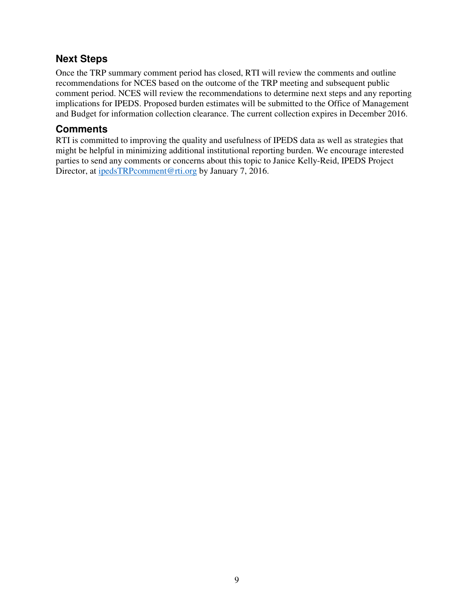### **Next Steps**

Once the TRP summary comment period has closed, RTI will review the comments and outline recommendations for NCES based on the outcome of the TRP meeting and subsequent public comment period. NCES will review the recommendations to determine next steps and any reporting implications for IPEDS. Proposed burden estimates will be submitted to the Office of Management and Budget for information collection clearance. The current collection expires in December 2016.

### **Comments**

RTI is committed to improving the quality and usefulness of IPEDS data as well as strategies that might be helpful in minimizing additional institutional reporting burden. We encourage interested parties to send any comments or concerns about this topic to Janice Kelly-Reid, IPEDS Project Director, at ipedsTRPcomment@rti.org by January 7, 2016.